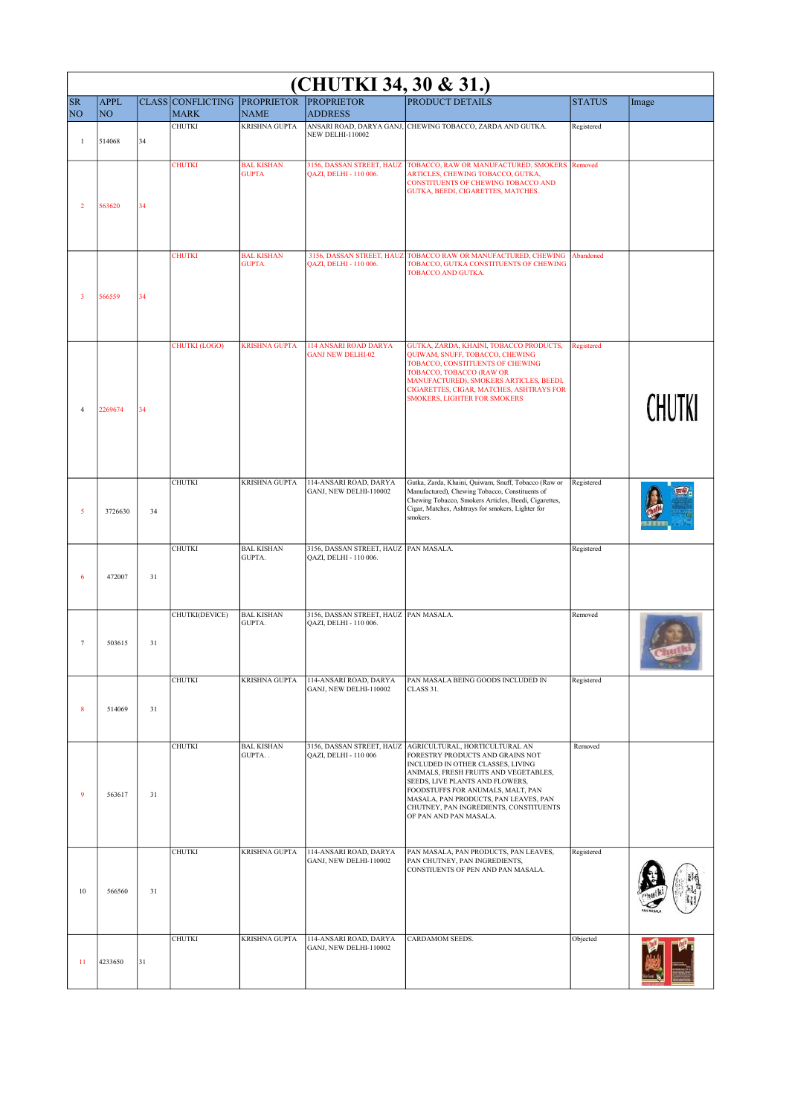| (CHUTKI 34, 30 & 31.)       |                               |    |                                             |                                    |                                                                 |                                                                                                                                                                                                                                                                                                                                       |               |        |  |
|-----------------------------|-------------------------------|----|---------------------------------------------|------------------------------------|-----------------------------------------------------------------|---------------------------------------------------------------------------------------------------------------------------------------------------------------------------------------------------------------------------------------------------------------------------------------------------------------------------------------|---------------|--------|--|
| <b>SR</b><br>N <sub>O</sub> | <b>APPL</b><br>N <sub>O</sub> |    | CLASS CONFLICTING PROPRIETOR<br><b>MARK</b> | <b>NAME</b>                        | <b>PROPRIETOR</b><br><b>ADDRESS</b>                             | <b>PRODUCT DETAILS</b>                                                                                                                                                                                                                                                                                                                | <b>STATUS</b> | Image  |  |
| $\mathbf{1}$                | 514068                        | 34 | <b>CHUTKI</b>                               | <b>KRISHNA GUPTA</b>               | <b>NEW DELHI-110002</b>                                         | ANSARI ROAD, DARYA GANJ, CHEWING TOBACCO, ZARDA AND GUTKA.                                                                                                                                                                                                                                                                            | Registered    |        |  |
| $\overline{2}$              | 563620                        | 34 | <b>CHUTKI</b>                               | <b>BAL KISHAN</b><br><b>GUPTA</b>  | 3156, DASSAN STREET, HAUZ<br>QAZI, DELHI - 110 006.             | TOBACCO, RAW OR MANUFACTURED, SMOKERS Removed<br>ARTICLES, CHEWING TOBACCO, GUTKA,<br>CONSTITUENTS OF CHEWING TOBACCO AND<br>GUTKA, BEEDI, CIGARETTES, MATCHES.                                                                                                                                                                       |               |        |  |
| 3                           | 566559                        | 34 | <b>CHUTKI</b>                               | <b>BAL KISHAN</b><br><b>GUPTA.</b> | 3156, DASSAN STREET, HAUZ<br>QAZI, DELHI - 110 006.             | TOBACCO RAW OR MANUFACTURED, CHEWING<br>TOBACCO, GUTKA CONSTITUENTS OF CHEWING<br>TOBACCO AND GUTKA.                                                                                                                                                                                                                                  | Abandoned     |        |  |
| 4                           | 2269674                       | 34 | <b>CHUTKI (LOGO)</b>                        | <b>KRISHNA GUPTA</b>               | <b>114 ANSARI ROAD DARYA</b><br><b>GANJ NEW DELHI-02</b>        | GUTKA, ZARDA, KHAINI, TOBACCO PRODUCTS,<br>QUIWAM, SNUFF, TOBACCO, CHEWING<br>TOBACCO, CONSTITUENTS OF CHEWING<br>TOBACCO, TOBACCO (RAW OR<br>MANUFACTURED), SMOKERS ARTICLES, BEEDI,<br>CIGARETTES, CIGAR, MATCHES, ASHTRAYS FOR<br><b>SMOKERS, LIGHTER FOR SMOKERS</b>                                                              | Registered    | CHUTKI |  |
| 5                           | 3726630                       | 34 | <b>CHUTKI</b>                               | <b>KRISHNA GUPTA</b>               | 114-ANSARI ROAD, DARYA<br>GANJ, NEW DELHI-110002                | Gutka, Zarda, Khaini, Quiwam, Snuff, Tobacco (Raw or<br>Manufactured), Chewing Tobacco, Constituents of<br>Chewing Tobacco, Smokers Articles, Beedi, Cigarettes,<br>Cigar, Matches, Ashtrays for smokers, Lighter for<br>smokers.                                                                                                     | Registered    |        |  |
| 6                           | 472007                        | 31 | <b>CHUTKI</b>                               | <b>BAL KISHAN</b><br>GUPTA.        | 3156, DASSAN STREET, HAUZ PAN MASALA.<br>QAZI, DELHI - 110 006. |                                                                                                                                                                                                                                                                                                                                       | Registered    |        |  |
| $\tau$                      | 503615                        | 31 | CHUTKI(DEVICE)                              | <b>BAL KISHAN</b><br><b>GUPTA.</b> | 3156, DASSAN STREET, HAUZ PAN MASALA.<br>QAZI, DELHI - 110 006. |                                                                                                                                                                                                                                                                                                                                       | Removed       |        |  |
| 8                           | 514069                        | 31 | <b>CHUTKI</b>                               | KRISHNA GUPTA                      | 114-ANSARI ROAD, DARYA<br>GANJ, NEW DELHI-110002                | PAN MASALA BEING GOODS INCLUDED IN<br>CLASS 31.                                                                                                                                                                                                                                                                                       | Registered    |        |  |
| 9                           | 563617                        | 31 | <b>CHUTKI</b>                               | <b>BAL KISHAN</b><br>GUPTA         | 3156, DASSAN STREET, HAUZ<br>QAZI, DELHI - 110 006              | AGRICULTURAL, HORTICULTURAL AN<br>FORESTRY PRODUCTS AND GRAINS NOT<br>INCLUDED IN OTHER CLASSES, LIVING<br>ANIMALS, FRESH FRUITS AND VEGETABLES,<br>SEEDS, LIVE PLANTS AND FLOWERS,<br>FOODSTUFFS FOR ANUMALS, MALT, PAN<br>MASALA, PAN PRODUCTS, PAN LEAVES, PAN<br>CHUTNEY, PAN INGREDIENTS, CONSTITUENTS<br>OF PAN AND PAN MASALA. | Removed       |        |  |
| 10                          | 566560                        | 31 | <b>CHUTKI</b>                               | <b>KRISHNA GUPTA</b>               | 114-ANSARI ROAD, DARYA<br>GANJ, NEW DELHI-110002                | PAN MASALA, PAN PRODUCTS, PAN LEAVES,<br>PAN CHUTNEY, PAN INGREDIENTS,<br>CONSTIUENTS OF PEN AND PAN MASALA.                                                                                                                                                                                                                          | Registered    |        |  |
| 11                          | 4233650                       | 31 | <b>CHUTKI</b>                               | <b>KRISHNA GUPTA</b>               | 114-ANSARI ROAD, DARYA<br>GANJ, NEW DELHI-110002                | CARDAMOM SEEDS.                                                                                                                                                                                                                                                                                                                       | Objected      |        |  |